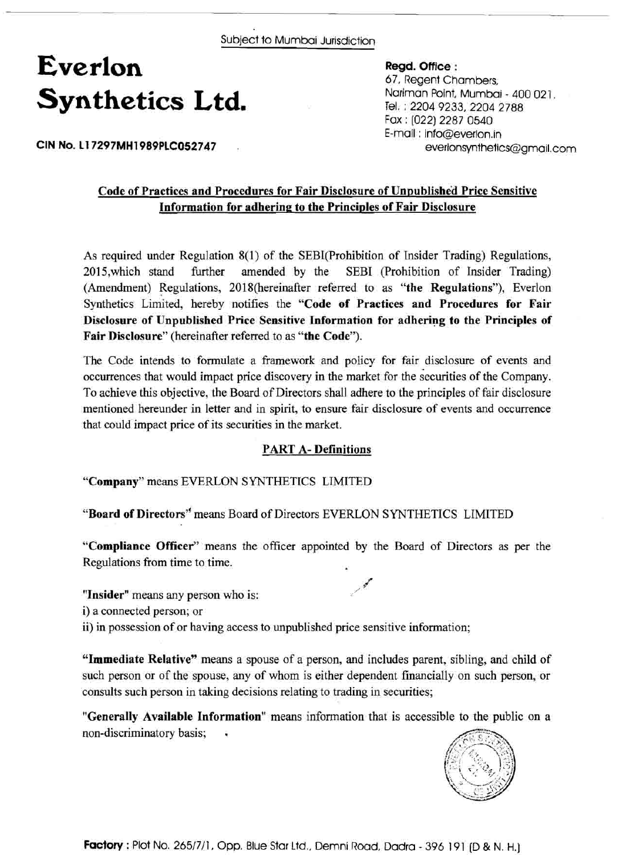### **Everlon Synthetics Ltd.**

#### **Regd. Office** :

67, Regent Chambers, Nariman Point, Mumbai - 400 021 . Tel. : 2204 9233,2204 2788 Fax : (022) 2287 0540 E-mail : info@everlon.in everlonsynthetics@gmail.com

**CIN No. L17297MH1989PLC052747** .

### **Code of Practices and Procedures for Fair Disclosure of Unpublished Price Sensitive Information for adhering to the Principles of Fair Disclosure**

As required under Regulation 8(1) of the SEBI(Prohibition of Insider Trading) Regulations, 2015, which stand further amended by the SEBI (Prohibition of Insider Trading) (Amendment) Regulations, 2018(hereinafter referred to as **"the Regulations"),** Everlon Synthetics Limited, hereby notifies the **"Code of Practices and Procedures for Fair Disclosure of Unpublished Price Sensitive Information for adhering to the Principles of Fair Disclosure"** (hereinafter referred to as **"the Code").** 

The Code intends to formulate a framework and policy for fair disclosure of events and occurrences that would impact price discovery in the market for the securities of the Company. To achieve this objective, the Board of Directors shall adhere to the principles of fair disclosure mentioned hereunder in letter and in spirit, to ensure fair disclosure of events and occurrence that could impact price of its securities in the market.

#### **PART A- Definitions**

**"Company"** means EVERLON SYNTHETICS LIMITED

"Board of Directors" means Board of Directors EVERLON SYNTHETICS LIMITED

**"Compliance Officer"** means the officer appointed by the Board of Directors as per the Regulations from time to time.

"Insider" means any person who is:

i) a connected person; or

ii) in possession of or having access to unpublished price sensitive information;

**"Immediate Relative"** means a spouse of a person, and includes parent, sibling, and child of such person or of the spouse, any of whom is either dependent financially on such person, or consults such person in taking decisions relating to trading in securities;

**"Generally Available Information"** means information that is accessible to the public on a non-discriminatory basis; .

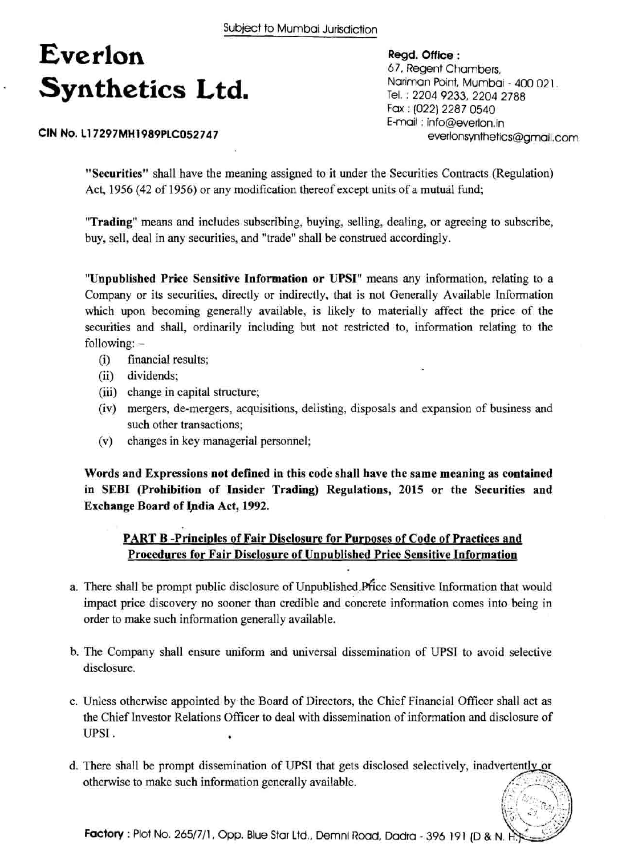# **Everlon Regd. Office** : Synthetics Ltd.

### 67, Regent Chambers, Nariman Point, Mumbai - 400 021. Tel. : 2204 9233, 2204 2788 Fax : (022) 2287 0540 E-mail : info@everlon.in everlonsynthetics@gmail.com

**CIN No. L17297MH1989PLC052747** 

**"Securities"** shall have the meaning assigned to it under the Securities Contracts (Regulation) Act, 1956 (42 of 1956) or any modification thereof except units of a mutual fund;

**"Trading"** means and includes subscribing, buying, selling, dealing, or agreeing to subscribe, buy, sell, deal in any securities, and "trade" shall be construed accordingly.

**"Unpublished Price Sensitive Information or UPSI"** means any information, relating to a Company or its securities, directly or indirectly, that is not Generally Available Information which upon becoming generally available, is likely to materially affect the price of the securities and shall, ordinarily including but not restricted to, information relating to the following: -

- (i) financial results;
- (ii) dividends;
- (iii) change in capital structure;
- (iv) mergers, de-mergers, acquisitions, delisting, disposals and expansion of business and such other transactions;
- (v) changes in key managerial personnel;

**Words and Expressions not defined in this code shall have the same meaning as contained in SEBI (Prohibition of Insider Trading) Regulations, 2015 or the Securities and Exchange Board of Ipdia Act, 1992.** 

### **PART B -Principles of Fair Disclosure for Purposes of Code of Practices and Procedures for Fair Disclosure of Unpublished Price Sensitive Information**

- a. There shall be prompt public disclosure of Unpublished, Price Sensitive Information that would impact price discovery no sooner than credible and concrete information comes into being in order to make such information generally available.
- b. The Company shall ensure uniform and universal dissemination of UPSI to avoid selective disclosure.
- c. Unless otherwise appointed by the Board of Directors, the Chief Financial Officer shall act as the Chief Investor Relations Officer to deal with dissemination of information and disclosure of UPS1 . .
- d. There shall be prompt dissemination of UPSI that gets disclosed selectively, inadvertently or otherwise to make such information generally available.

**Factory** : Plot No. 265/7/1, Opp. Blue Star Ltd., Demni Road, Dadra - 396 191 (D & N. H.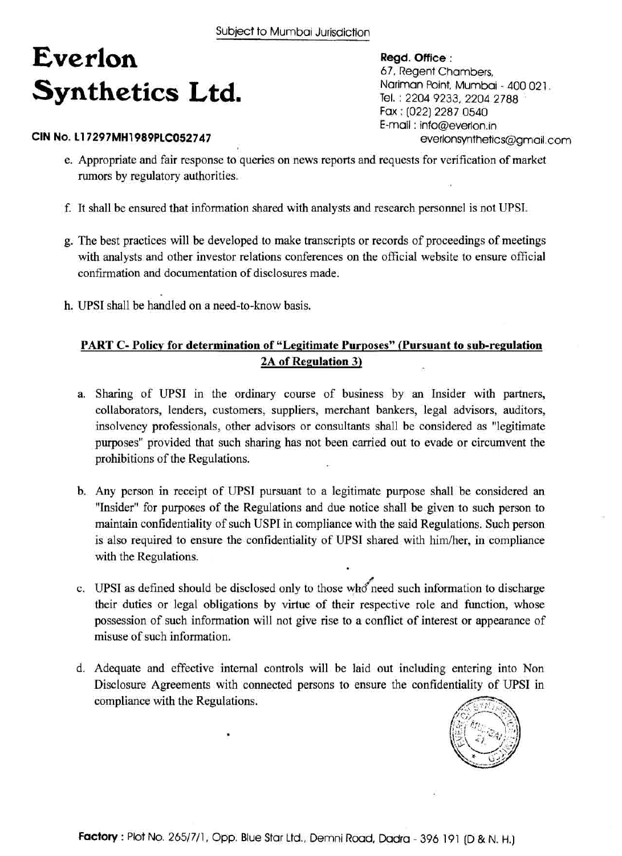# **Everlon Synthetics Ltd.**

### **CIN No. 11 7297MH1989PLC052747**

**Regd. Office** : 67, Regent Chambers, Nariman Point, Mumbai - 400 021. Tel. : 2204 9233, 2204 2788 Fax : [022) 2287 0540 E-mail : info@everlon.in everlonsynthetics@gmail.com

- e. Appropriate and fair response to queries on news reports and requests for verification of market rumors by regulatory authorities.
- f. It shall be ensured that information shared with analysts and research personnel is not UPSI.
- g. The best practices will be developed to make transcripts or records of proceedings of meetings with analysts and other investor relations conferences on the official website to ensure official confirmation and documentation of disclosures made.
- h. UPSI shall be handled on a need-to-know basis.

### **PART C- Policy for determination of "Legitimate Purposes" (Pursuant to sub-regulation 2A of Regulation 3)**

- a. Sharing of UPSI in the ordinary course of business by an Insider with partners, collaborators, lenders, customers, suppliers, merchant bankers, legal advisors, auditors, insolvency professionals, other advisors or consultants shall be considered as "legitimate purposes" provided that such sharing has not been carried out to evade or circumvent the prohibitions of the Regulations.
- b. Any person in receipt of UPSI pursuant to a legitimate purpose shall be considered an "Insider" for purposes of the Regulations and due notice shall be given to such person to maintain confidentiality of such USPI in compliance with the said Regulations. Such person is also required to ensure the confidentiality of UPSI shared with him/her, in compliance with the Regulations.
- c. UPSI as defined should be disclosed only to those who need such information to discharge their duties or legal obligations by virtue of their respective role and function, whose possession of such information will not give rise to a conflict of interest or appearance of misuse of such information.
- d. Adequate and effective internal controls will be laid out including entering into Non Disclosure Agreements with connected persons to ensure the confidentiality of UPSI in compliance with the Regulations.